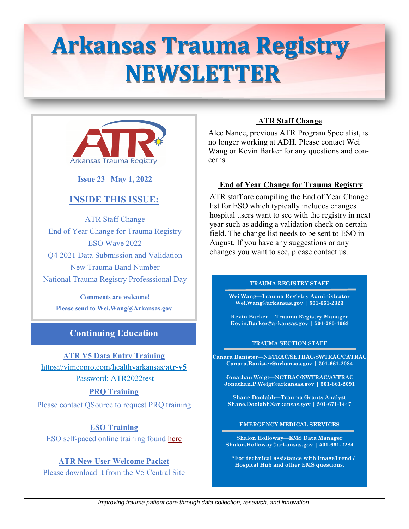# **Arkansas Trauma Registry NEWSLETTER**



 **Issue 23 | May 1, 2022**

# **INSIDE THIS ISSUE:**

ATR Staff Change End of Year Change for Trauma Registry ESO Wave 2022 Q4 2021 Data Submission and Validation New Trauma Band Number National Trauma Registry Professsional Day

**Comments are welcome! Please send to Wei.Wang@Arkansas.gov**

# **Continuing Education**

**ATR V5 Data Entry Training**

[https://vimeopro.com/healthyarkansas/](https://vimeopro.com/healthyarkansas/atr-v5)**atr-v5** Password: ATR2022test

**PRQ Training**

Please contact QSource to request PRQ training

**ESO Training** ESO self-paced online training found [here](https://www.eso.com/hospital/di-by-eso-training/)

**ATR New User Welcome Packet**  Please download it from the V5 Central Site

## **ATR Staff Change**

Alec Nance, previous ATR Program Specialist, is no longer working at ADH. Please contact Wei Wang or Kevin Barker for any questions and concerns.

## **End of Year Change for Trauma Registry**

ATR staff are compiling the End of Year Change list for ESO which typically includes changes hospital users want to see with the registry in next year such as adding a validation check on certain field. The change list needs to be sent to ESO in August. If you have any suggestions or any changes you want to see, please contact us.

### **TRAUMA REGISTRY STAFF**

**Wei Wang—Trauma Registry Administrator Wei.Wang@arkansas.gov | 501-661-2323** 

**Kevin Barker —Trauma Registry Manager Kevin.Barker@arkansas.gov | 501-280-4063** 

#### **TRAUMA SECTION STAFF**

**Canara Banister—NETRAC/SETRAC/SWTRAC/CATRAC Canara.Banister@arkansas.gov | 501-661-2084**

**Jonathan Weigt—NCTRAC/NWTRAC/AVTRAC Jonathan.P.Weigt@arkansas.gov | 501-661-2091** 

**Shane Doolabh—Trauma Grants Analyst Shane.Doolabh@arkansas.gov | 501-671-1447**

**EMERGENCY MEDICAL SERVICES** 

**Shalon Holloway—EMS Data Manager Shalon.Holloway@arkansas.gov | 501-661-2284**

**\*For technical assistance with ImageTrend / Hospital Hub and other EMS questions.**

*Improving trauma patient care through data collection, research, and innovation.*